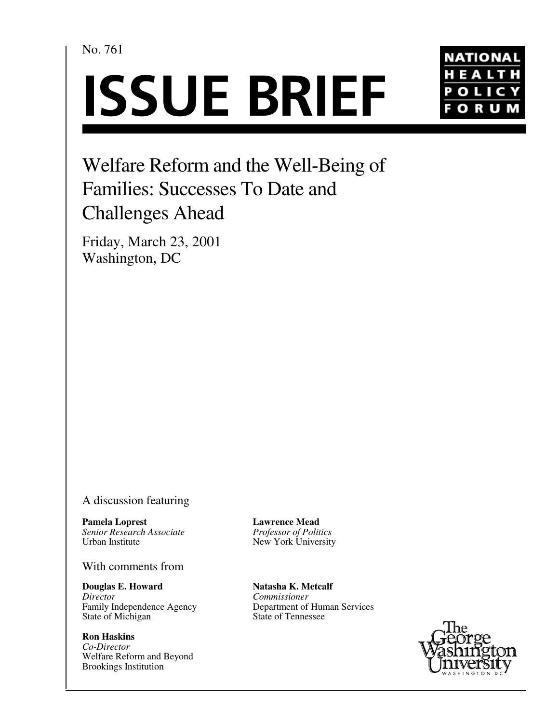No. 761

# **ISSUE BRIEF**



## Welfare Reform and the Well-Being of Families: Successes To Date and Challenges Ahead

Friday, March 23, 2001 Washington, DC

#### A discussion featuring

**Pamela Loprest** *Senior Research Associate* Urban Institute

#### With comments from

**Douglas E. Howard** *Director* Family Independence Agency State of Michigan

**Ron Haskins** *Co-Director* Welfare Reform and Beyond Brookings Institution

**Lawrence Mead** *Professor of Politics* New York University

**Natasha K. Metcalf** *Commissioner* Department of Human Services State of Tennessee

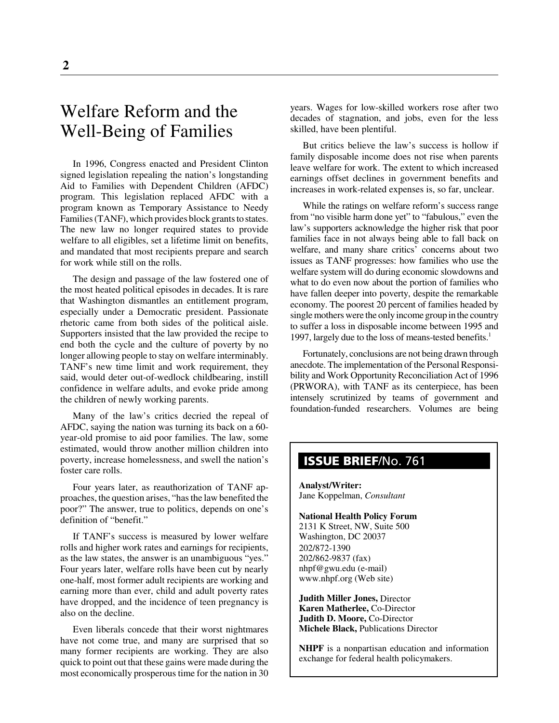### Welfare Reform and the Well-Being of Families

In 1996, Congress enacted and President Clinton signed legislation repealing the nation's longstanding Aid to Families with Dependent Children (AFDC) program. This legislation replaced AFDC with a program known as Temporary Assistance to Needy Families (TANF), which provides block grants to states. The new law no longer required states to provide welfare to all eligibles, set a lifetime limit on benefits, and mandated that most recipients prepare and search for work while still on the rolls.

The design and passage of the law fostered one of the most heated political episodes in decades. It is rare that Washington dismantles an entitlement program, especially under a Democratic president. Passionate rhetoric came from both sides of the political aisle. Supporters insisted that the law provided the recipe to end both the cycle and the culture of poverty by no longer allowing people to stay on welfare interminably. TANF's new time limit and work requirement, they said, would deter out-of-wedlock childbearing, instill confidence in welfare adults, and evoke pride among the children of newly working parents.

Many of the law's critics decried the repeal of AFDC, saying the nation was turning its back on a 60 year-old promise to aid poor families. The law, some estimated, would throw another million children into poverty, increase homelessness, and swell the nation's foster care rolls.

Four years later, as reauthorization of TANF approaches, the question arises, "has the law benefited the poor?" The answer, true to politics, depends on one's definition of "benefit."

If TANF's success is measured by lower welfare rolls and higher work rates and earnings for recipients, as the law states, the answer is an unambiguous "yes." Four years later, welfare rolls have been cut by nearly one-half, most former adult recipients are working and earning more than ever, child and adult poverty rates have dropped, and the incidence of teen pregnancy is also on the decline.

Even liberals concede that their worst nightmares have not come true, and many are surprised that so many former recipients are working. They are also quick to point out that these gains were made during the most economically prosperous time for the nation in 30

years. Wages for low-skilled workers rose after two decades of stagnation, and jobs, even for the less skilled, have been plentiful.

But critics believe the law's success is hollow if family disposable income does not rise when parents leave welfare for work. The extent to which increased earnings offset declines in government benefits and increases in work-related expenses is, so far, unclear.

While the ratings on welfare reform's success range from "no visible harm done yet" to "fabulous," even the law's supporters acknowledge the higher risk that poor families face in not always being able to fall back on welfare, and many share critics' concerns about two issues as TANF progresses: how families who use the welfare system will do during economic slowdowns and what to do even now about the portion of families who have fallen deeper into poverty, despite the remarkable economy. The poorest 20 percent of families headed by single mothers were the only income group in the country to suffer a loss in disposable income between 1995 and 1997, largely due to the loss of means-tested benefits.<sup>1</sup>

Fortunately, conclusions are not being drawn through anecdote. The implementation of the Personal Responsibility and Work Opportunity Reconciliation Act of 1996 (PRWORA), with TANF as its centerpiece, has been intensely scrutinized by teams of government and foundation-funded researchers. Volumes are being

#### **ISSUE BRIEF**/No. 761

**Analyst/Writer:** Jane Koppelman, *Consultant*

**National Health Policy Forum** 2131 K Street, NW, Suite 500 Washington, DC 20037 202/872-1390 202/862-9837 (fax) nhpf@gwu.edu (e-mail) www.nhpf.org (Web site)

**Judith Miller Jones,** Director **Karen Matherlee,** Co-Director **Judith D. Moore,** Co-Director **Michele Black,** Publications Director

**NHPF** is a nonpartisan education and information exchange for federal health policymakers.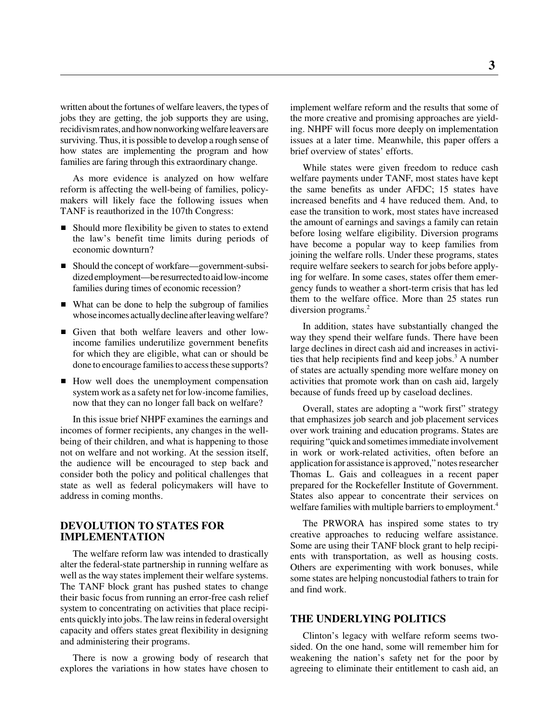written about the fortunes of welfare leavers, the types of jobs they are getting, the job supports they are using, recidivism rates, and how nonworking welfare leavers are surviving. Thus, it is possible to develop a rough sense of how states are implementing the program and how families are faring through this extraordinary change.

As more evidence is analyzed on how welfare reform is affecting the well-being of families, policymakers will likely face the following issues when TANF is reauthorized in the 107th Congress:

- Should more flexibility be given to states to extend the law's benefit time limits during periods of economic downturn?
- Should the concept of workfare—government-subsidized employment—be resurrected to aid low-income families during times of economic recession?
- What can be done to help the subgroup of families whose incomes actually decline after leaving welfare?
- Given that both welfare leavers and other lowincome families underutilize government benefits for which they are eligible, what can or should be done to encourage families to access these supports?
- How well does the unemployment compensation system work as a safety net for low-income families, now that they can no longer fall back on welfare?

In this issue brief NHPF examines the earnings and incomes of former recipients, any changes in the wellbeing of their children, and what is happening to those not on welfare and not working. At the session itself, the audience will be encouraged to step back and consider both the policy and political challenges that state as well as federal policymakers will have to address in coming months.

#### **DEVOLUTION TO STATES FOR IMPLEMENTATION**

The welfare reform law was intended to drastically alter the federal-state partnership in running welfare as well as the way states implement their welfare systems. The TANF block grant has pushed states to change their basic focus from running an error-free cash relief system to concentrating on activities that place recipients quickly into jobs. The law reins in federal oversight capacity and offers states great flexibility in designing and administering their programs.

There is now a growing body of research that explores the variations in how states have chosen to

implement welfare reform and the results that some of the more creative and promising approaches are yielding. NHPF will focus more deeply on implementation issues at a later time. Meanwhile, this paper offers a brief overview of states' efforts.

While states were given freedom to reduce cash welfare payments under TANF, most states have kept the same benefits as under AFDC; 15 states have increased benefits and 4 have reduced them. And, to ease the transition to work, most states have increased the amount of earnings and savings a family can retain before losing welfare eligibility. Diversion programs have become a popular way to keep families from joining the welfare rolls. Under these programs, states require welfare seekers to search for jobs before applying for welfare. In some cases, states offer them emergency funds to weather a short-term crisis that has led them to the welfare office. More than 25 states run diversion programs.<sup>2</sup>

In addition, states have substantially changed the way they spend their welfare funds. There have been large declines in direct cash aid and increases in activities that help recipients find and keep jobs. $3$  A number of states are actually spending more welfare money on activities that promote work than on cash aid, largely because of funds freed up by caseload declines.

Overall, states are adopting a "work first" strategy that emphasizes job search and job placement services over work training and education programs. States are requiring "quick and sometimes immediate involvement in work or work-related activities, often before an application for assistance is approved," notes researcher Thomas L. Gais and colleagues in a recent paper prepared for the Rockefeller Institute of Government. States also appear to concentrate their services on welfare families with multiple barriers to employment.<sup>4</sup>

The PRWORA has inspired some states to try creative approaches to reducing welfare assistance. Some are using their TANF block grant to help recipients with transportation, as well as housing costs. Others are experimenting with work bonuses, while some states are helping noncustodial fathers to train for and find work.

#### **THE UNDERLYING POLITICS**

Clinton's legacy with welfare reform seems twosided. On the one hand, some will remember him for weakening the nation's safety net for the poor by agreeing to eliminate their entitlement to cash aid, an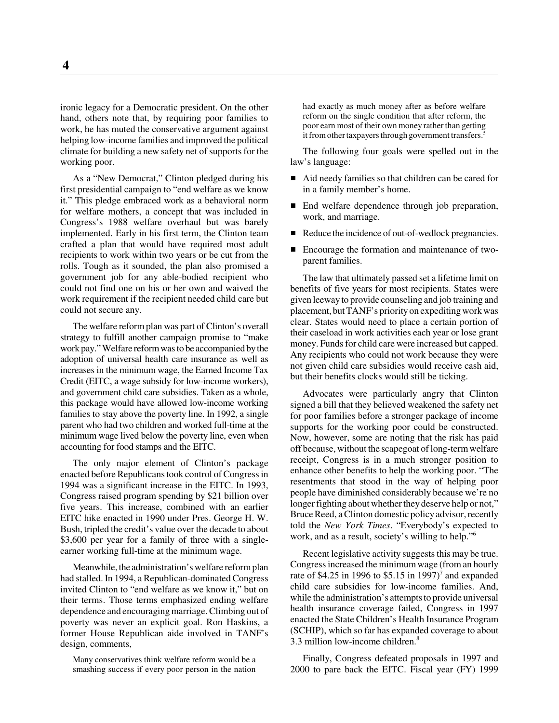ironic legacy for a Democratic president. On the other hand, others note that, by requiring poor families to work, he has muted the conservative argument against helping low-income families and improved the political climate for building a new safety net of supports for the working poor.

As a "New Democrat," Clinton pledged during his first presidential campaign to "end welfare as we know it." This pledge embraced work as a behavioral norm for welfare mothers, a concept that was included in Congress's 1988 welfare overhaul but was barely implemented. Early in his first term, the Clinton team crafted a plan that would have required most adult recipients to work within two years or be cut from the rolls. Tough as it sounded, the plan also promised a government job for any able-bodied recipient who could not find one on his or her own and waived the work requirement if the recipient needed child care but could not secure any.

The welfare reform plan was part of Clinton's overall strategy to fulfill another campaign promise to "make work pay." Welfare reform was to be accompanied by the adoption of universal health care insurance as well as increases in the minimum wage, the Earned Income Tax Credit (EITC, a wage subsidy for low-income workers), and government child care subsidies. Taken as a whole, this package would have allowed low-income working families to stay above the poverty line. In 1992, a single parent who had two children and worked full-time at the minimum wage lived below the poverty line, even when accounting for food stamps and the EITC.

The only major element of Clinton's package enacted before Republicans took control of Congress in 1994 was a significant increase in the EITC. In 1993, Congress raised program spending by \$21 billion over five years. This increase, combined with an earlier EITC hike enacted in 1990 under Pres. George H. W. Bush, tripled the credit's value over the decade to about \$3,600 per year for a family of three with a singleearner working full-time at the minimum wage.

Meanwhile, the administration's welfare reform plan had stalled. In 1994, a Republican-dominated Congress invited Clinton to "end welfare as we know it," but on their terms. Those terms emphasized ending welfare dependence and encouraging marriage. Climbing out of poverty was never an explicit goal. Ron Haskins, a former House Republican aide involved in TANF's design, comments,

Many conservatives think welfare reform would be a smashing success if every poor person in the nation

had exactly as much money after as before welfare reform on the single condition that after reform, the poor earn most of their own money rather than getting it from other taxpayers through government transfers.<sup>5</sup>

The following four goals were spelled out in the law's language:

- Aid needy families so that children can be cared for in a family member's home.
- End welfare dependence through job preparation, work, and marriage.
- Reduce the incidence of out-of-wedlock pregnancies.
- Encourage the formation and maintenance of twoparent families.

The law that ultimately passed set a lifetime limit on benefits of five years for most recipients. States were given leeway to provide counseling and job training and placement, but TANF's priority on expediting work was clear. States would need to place a certain portion of their caseload in work activities each year or lose grant money. Funds for child care were increased but capped. Any recipients who could not work because they were not given child care subsidies would receive cash aid, but their benefits clocks would still be ticking.

Advocates were particularly angry that Clinton signed a bill that they believed weakened the safety net for poor families before a stronger package of income supports for the working poor could be constructed. Now, however, some are noting that the risk has paid off because, without the scapegoat of long-term welfare receipt, Congress is in a much stronger position to enhance other benefits to help the working poor. "The resentments that stood in the way of helping poor people have diminished considerably because we're no longer fighting about whether they deserve help or not," Bruce Reed, a Clinton domestic policy advisor, recently told the *New York Times*. "Everybody's expected to work, and as a result, society's willing to help."6

Recent legislative activity suggests this may be true. Congress increased the minimum wage (from an hourly rate of \$4.25 in 1996 to \$5.15 in 1997)<sup>7</sup> and expanded child care subsidies for low-income families. And, while the administration's attempts to provide universal health insurance coverage failed, Congress in 1997 enacted the State Children's Health Insurance Program (SCHIP), which so far has expanded coverage to about 3.3 million low-income children.8

Finally, Congress defeated proposals in 1997 and 2000 to pare back the EITC. Fiscal year (FY) 1999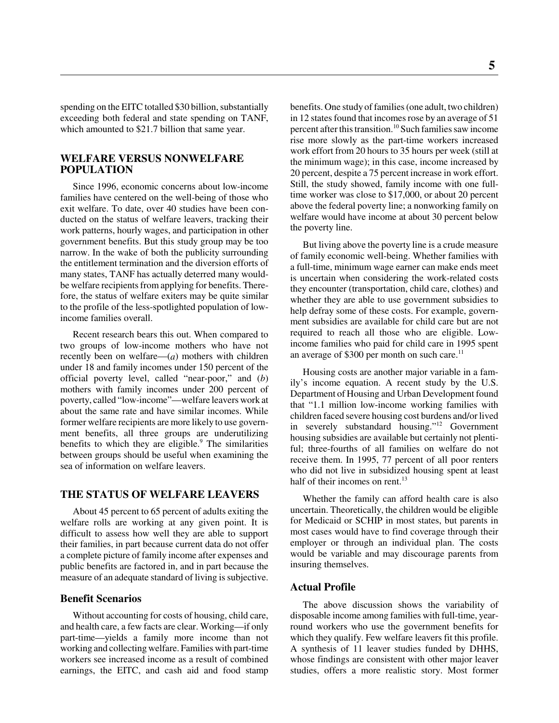spending on the EITC totalled \$30 billion, substantially exceeding both federal and state spending on TANF, which amounted to \$21.7 billion that same year.

#### **WELFARE VERSUS NONWELFARE POPULATION**

Since 1996, economic concerns about low-income families have centered on the well-being of those who exit welfare. To date, over 40 studies have been conducted on the status of welfare leavers, tracking their work patterns, hourly wages, and participation in other government benefits. But this study group may be too narrow. In the wake of both the publicity surrounding the entitlement termination and the diversion efforts of many states, TANF has actually deterred many wouldbe welfare recipients from applying for benefits. Therefore, the status of welfare exiters may be quite similar to the profile of the less-spotlighted population of lowincome families overall.

Recent research bears this out. When compared to two groups of low-income mothers who have not recently been on welfare—(*a*) mothers with children under 18 and family incomes under 150 percent of the official poverty level, called "near-poor," and (*b*) mothers with family incomes under 200 percent of poverty, called "low-income"—welfare leavers work at about the same rate and have similar incomes. While former welfare recipients are more likely to use government benefits, all three groups are underutilizing benefits to which they are eligible.<sup>9</sup> The similarities between groups should be useful when examining the sea of information on welfare leavers.

#### **THE STATUS OF WELFARE LEAVERS**

About 45 percent to 65 percent of adults exiting the welfare rolls are working at any given point. It is difficult to assess how well they are able to support their families, in part because current data do not offer a complete picture of family income after expenses and public benefits are factored in, and in part because the measure of an adequate standard of living is subjective.

#### **Benefit Scenarios**

Without accounting for costs of housing, child care, and health care, a few facts are clear. Working—if only part-time—yields a family more income than not working and collecting welfare. Families with part-time workers see increased income as a result of combined earnings, the EITC, and cash aid and food stamp benefits. One study of families (one adult, two children) in 12 states found that incomes rose by an average of 51 percent after this transition.10 Such families saw income rise more slowly as the part-time workers increased work effort from 20 hours to 35 hours per week (still at the minimum wage); in this case, income increased by 20 percent, despite a 75 percent increase in work effort. Still, the study showed, family income with one fulltime worker was close to \$17,000, or about 20 percent above the federal poverty line; a nonworking family on welfare would have income at about 30 percent below the poverty line.

But living above the poverty line is a crude measure of family economic well-being. Whether families with a full-time, minimum wage earner can make ends meet is uncertain when considering the work-related costs they encounter (transportation, child care, clothes) and whether they are able to use government subsidies to help defray some of these costs. For example, government subsidies are available for child care but are not required to reach all those who are eligible. Lowincome families who paid for child care in 1995 spent an average of \$300 per month on such care.<sup>11</sup>

Housing costs are another major variable in a family's income equation. A recent study by the U.S. Department of Housing and Urban Development found that "1.1 million low-income working families with children faced severe housing cost burdens and/or lived in severely substandard housing."12 Government housing subsidies are available but certainly not plentiful; three-fourths of all families on welfare do not receive them. In 1995, 77 percent of all poor renters who did not live in subsidized housing spent at least half of their incomes on rent.<sup>13</sup>

Whether the family can afford health care is also uncertain. Theoretically, the children would be eligible for Medicaid or SCHIP in most states, but parents in most cases would have to find coverage through their employer or through an individual plan. The costs would be variable and may discourage parents from insuring themselves.

#### **Actual Profile**

The above discussion shows the variability of disposable income among families with full-time, yearround workers who use the government benefits for which they qualify. Few welfare leavers fit this profile. A synthesis of 11 leaver studies funded by DHHS, whose findings are consistent with other major leaver studies, offers a more realistic story. Most former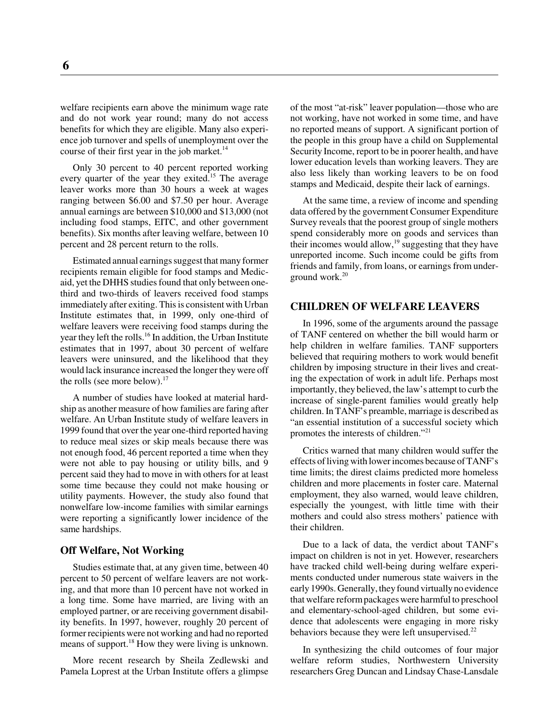welfare recipients earn above the minimum wage rate and do not work year round; many do not access benefits for which they are eligible. Many also experience job turnover and spells of unemployment over the course of their first year in the job market. $^{14}$ 

Only 30 percent to 40 percent reported working every quarter of the year they exited.<sup>15</sup> The average leaver works more than 30 hours a week at wages ranging between \$6.00 and \$7.50 per hour. Average annual earnings are between \$10,000 and \$13,000 (not including food stamps, EITC, and other government benefits). Six months after leaving welfare, between 10 percent and 28 percent return to the rolls.

Estimated annual earnings suggest that many former recipients remain eligible for food stamps and Medicaid, yet the DHHS studies found that only between onethird and two-thirds of leavers received food stamps immediately after exiting. This is consistent with Urban Institute estimates that, in 1999, only one-third of welfare leavers were receiving food stamps during the year they left the rolls.<sup>16</sup> In addition, the Urban Institute estimates that in 1997, about 30 percent of welfare leavers were uninsured, and the likelihood that they would lack insurance increased the longer they were off the rolls (see more below). $17$ 

A number of studies have looked at material hardship as another measure of how families are faring after welfare. An Urban Institute study of welfare leavers in 1999 found that over the year one-third reported having to reduce meal sizes or skip meals because there was not enough food, 46 percent reported a time when they were not able to pay housing or utility bills, and 9 percent said they had to move in with others for at least some time because they could not make housing or utility payments. However, the study also found that nonwelfare low-income families with similar earnings were reporting a significantly lower incidence of the same hardships.

#### **Off Welfare, Not Working**

Studies estimate that, at any given time, between 40 percent to 50 percent of welfare leavers are not working, and that more than 10 percent have not worked in a long time. Some have married, are living with an employed partner, or are receiving government disability benefits. In 1997, however, roughly 20 percent of former recipients were not working and had no reported means of support.<sup>18</sup> How they were living is unknown.

More recent research by Sheila Zedlewski and Pamela Loprest at the Urban Institute offers a glimpse of the most "at-risk" leaver population—those who are not working, have not worked in some time, and have no reported means of support. A significant portion of the people in this group have a child on Supplemental Security Income, report to be in poorer health, and have lower education levels than working leavers. They are also less likely than working leavers to be on food stamps and Medicaid, despite their lack of earnings.

At the same time, a review of income and spending data offered by the government Consumer Expenditure Survey reveals that the poorest group of single mothers spend considerably more on goods and services than their incomes would allow,<sup>19</sup> suggesting that they have unreported income. Such income could be gifts from friends and family, from loans, or earnings from underground work.<sup>20</sup>

#### **CHILDREN OF WELFARE LEAVERS**

In 1996, some of the arguments around the passage of TANF centered on whether the bill would harm or help children in welfare families. TANF supporters believed that requiring mothers to work would benefit children by imposing structure in their lives and creating the expectation of work in adult life. Perhaps most importantly, they believed, the law's attempt to curb the increase of single-parent families would greatly help children. In TANF's preamble, marriage is described as "an essential institution of a successful society which promotes the interests of children."<sup>21</sup>

Critics warned that many children would suffer the effects of living with lower incomes because of TANF's time limits; the direst claims predicted more homeless children and more placements in foster care. Maternal employment, they also warned, would leave children, especially the youngest, with little time with their mothers and could also stress mothers' patience with their children.

Due to a lack of data, the verdict about TANF's impact on children is not in yet. However, researchers have tracked child well-being during welfare experiments conducted under numerous state waivers in the early 1990s. Generally, they found virtually no evidence that welfare reform packages were harmful to preschool and elementary-school-aged children, but some evidence that adolescents were engaging in more risky behaviors because they were left unsupervised.<sup>22</sup>

In synthesizing the child outcomes of four major welfare reform studies, Northwestern University researchers Greg Duncan and Lindsay Chase-Lansdale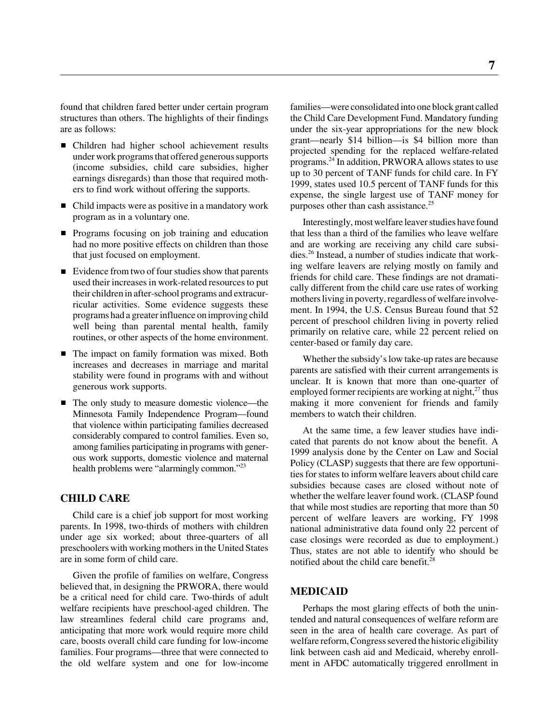found that children fared better under certain program structures than others. The highlights of their findings are as follows:

- Children had higher school achievement results under work programs that offered generous supports (income subsidies, child care subsidies, higher earnings disregards) than those that required mothers to find work without offering the supports.
- Child impacts were as positive in a mandatory work program as in a voluntary one.
- **Programs focusing on job training and education** had no more positive effects on children than those that just focused on employment.
- Evidence from two of four studies show that parents used their increases in work-related resources to put their children in after-school programs and extracurricular activities. Some evidence suggests these programs had a greater influence on improving child well being than parental mental health, family routines, or other aspects of the home environment.
- The impact on family formation was mixed. Both increases and decreases in marriage and marital stability were found in programs with and without generous work supports.
- The only study to measure domestic violence—the Minnesota Family Independence Program—found that violence within participating families decreased considerably compared to control families. Even so, among families participating in programs with generous work supports, domestic violence and maternal health problems were "alarmingly common."<sup>23</sup>

#### **CHILD CARE**

Child care is a chief job support for most working parents. In 1998, two-thirds of mothers with children under age six worked; about three-quarters of all preschoolers with working mothers in the United States are in some form of child care.

Given the profile of families on welfare, Congress believed that, in designing the PRWORA, there would be a critical need for child care. Two-thirds of adult welfare recipients have preschool-aged children. The law streamlines federal child care programs and, anticipating that more work would require more child care, boosts overall child care funding for low-income families. Four programs—three that were connected to the old welfare system and one for low-income

families—were consolidated into one block grant called the Child Care Development Fund. Mandatory funding under the six-year appropriations for the new block grant—nearly \$14 billion—is \$4 billion more than projected spending for the replaced welfare-related programs.24 In addition, PRWORA allows states to use up to 30 percent of TANF funds for child care. In FY 1999, states used 10.5 percent of TANF funds for this expense, the single largest use of TANF money for purposes other than cash assistance.<sup>25</sup>

Interestingly, most welfare leaver studies have found that less than a third of the families who leave welfare and are working are receiving any child care subsidies.26 Instead, a number of studies indicate that working welfare leavers are relying mostly on family and friends for child care. These findings are not dramatically different from the child care use rates of working mothers living in poverty, regardless of welfare involvement. In 1994, the U.S. Census Bureau found that 52 percent of preschool children living in poverty relied primarily on relative care, while 22 percent relied on center-based or family day care.

Whether the subsidy's low take-up rates are because parents are satisfied with their current arrangements is unclear. It is known that more than one-quarter of employed former recipients are working at night, $^{27}$  thus making it more convenient for friends and family members to watch their children.

At the same time, a few leaver studies have indicated that parents do not know about the benefit. A 1999 analysis done by the Center on Law and Social Policy (CLASP) suggests that there are few opportunities for states to inform welfare leavers about child care subsidies because cases are closed without note of whether the welfare leaver found work. (CLASP found that while most studies are reporting that more than 50 percent of welfare leavers are working, FY 1998 national administrative data found only 22 percent of case closings were recorded as due to employment.) Thus, states are not able to identify who should be notified about the child care benefit.<sup>28</sup>

#### **MEDICAID**

Perhaps the most glaring effects of both the unintended and natural consequences of welfare reform are seen in the area of health care coverage. As part of welfare reform, Congress severed the historic eligibility link between cash aid and Medicaid, whereby enrollment in AFDC automatically triggered enrollment in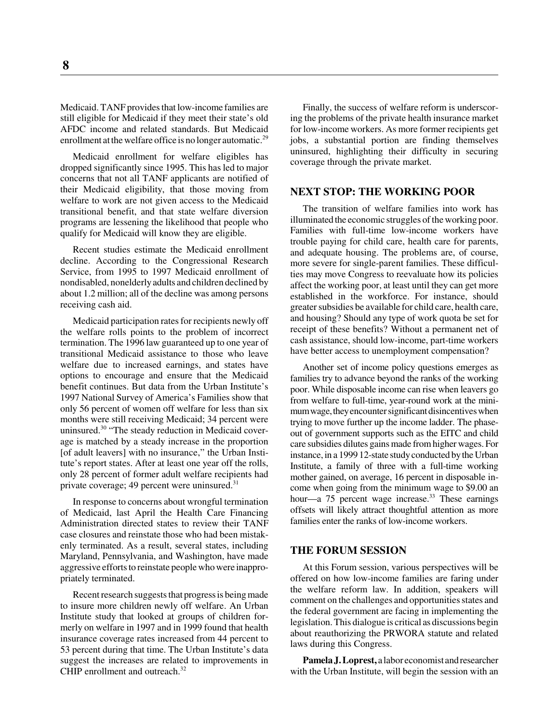Medicaid. TANF provides that low-income families are still eligible for Medicaid if they meet their state's old AFDC income and related standards. But Medicaid enrollment at the welfare office is no longer automatic.<sup>29</sup>

Medicaid enrollment for welfare eligibles has dropped significantly since 1995. This has led to major concerns that not all TANF applicants are notified of their Medicaid eligibility, that those moving from welfare to work are not given access to the Medicaid transitional benefit, and that state welfare diversion programs are lessening the likelihood that people who qualify for Medicaid will know they are eligible.

Recent studies estimate the Medicaid enrollment decline. According to the Congressional Research Service, from 1995 to 1997 Medicaid enrollment of nondisabled, nonelderly adults and children declined by about 1.2 million; all of the decline was among persons receiving cash aid.

Medicaid participation rates for recipients newly off the welfare rolls points to the problem of incorrect termination. The 1996 law guaranteed up to one year of transitional Medicaid assistance to those who leave welfare due to increased earnings, and states have options to encourage and ensure that the Medicaid benefit continues. But data from the Urban Institute's 1997 National Survey of America's Families show that only 56 percent of women off welfare for less than six months were still receiving Medicaid; 34 percent were uninsured.<sup>30</sup> "The steady reduction in Medicaid coverage is matched by a steady increase in the proportion [of adult leavers] with no insurance," the Urban Institute's report states. After at least one year off the rolls, only 28 percent of former adult welfare recipients had private coverage; 49 percent were uninsured. $31$ 

In response to concerns about wrongful termination of Medicaid, last April the Health Care Financing Administration directed states to review their TANF case closures and reinstate those who had been mistakenly terminated. As a result, several states, including Maryland, Pennsylvania, and Washington, have made aggressive efforts to reinstate people who were inappropriately terminated.

Recent research suggests that progress is being made to insure more children newly off welfare. An Urban Institute study that looked at groups of children formerly on welfare in 1997 and in 1999 found that health insurance coverage rates increased from 44 percent to 53 percent during that time. The Urban Institute's data suggest the increases are related to improvements in CHIP enrollment and outreach.<sup>32</sup>

Finally, the success of welfare reform is underscoring the problems of the private health insurance market for low-income workers. As more former recipients get jobs, a substantial portion are finding themselves uninsured, highlighting their difficulty in securing coverage through the private market.

#### **NEXT STOP: THE WORKING POOR**

The transition of welfare families into work has illuminated the economic struggles of the working poor. Families with full-time low-income workers have trouble paying for child care, health care for parents, and adequate housing. The problems are, of course, more severe for single-parent families. These difficulties may move Congress to reevaluate how its policies affect the working poor, at least until they can get more established in the workforce. For instance, should greater subsidies be available for child care, health care, and housing? Should any type of work quota be set for receipt of these benefits? Without a permanent net of cash assistance, should low-income, part-time workers have better access to unemployment compensation?

Another set of income policy questions emerges as families try to advance beyond the ranks of the working poor. While disposable income can rise when leavers go from welfare to full-time, year-round work at the minimum wage, they encounter significant disincentives when trying to move further up the income ladder. The phaseout of government supports such as the EITC and child care subsidies dilutes gains made from higher wages. For instance, in a 1999 12-state study conducted by the Urban Institute, a family of three with a full-time working mother gained, on average, 16 percent in disposable income when going from the minimum wage to \$9.00 an hour—a  $75$  percent wage increase.<sup>33</sup> These earnings offsets will likely attract thoughtful attention as more families enter the ranks of low-income workers.

#### **THE FORUM SESSION**

At this Forum session, various perspectives will be offered on how low-income families are faring under the welfare reform law. In addition, speakers will comment on the challenges and opportunities states and the federal government are facing in implementing the legislation. This dialogue is critical as discussions begin about reauthorizing the PRWORA statute and related laws during this Congress.

**Pamela J. Loprest,** a labor economist and researcher with the Urban Institute, will begin the session with an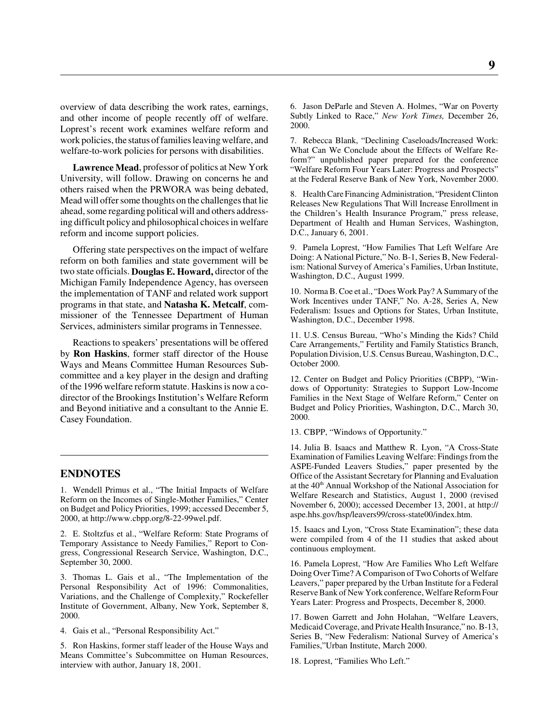overview of data describing the work rates, earnings, and other income of people recently off of welfare. Loprest's recent work examines welfare reform and work policies, the status of families leaving welfare, and welfare-to-work policies for persons with disabilities.

**Lawrence Mead**, professor of politics at New York University, will follow. Drawing on concerns he and others raised when the PRWORA was being debated, Mead will offer some thoughts on the challenges that lie ahead, some regarding political will and others addressing difficult policy and philosophical choices in welfare reform and income support policies.

Offering state perspectives on the impact of welfare reform on both families and state government will be two state officials. **Douglas E. Howard,** director of the Michigan Family Independence Agency, has overseen the implementation of TANF and related work support programs in that state, and **Natasha K. Metcalf**, commissioner of the Tennessee Department of Human Services, administers similar programs in Tennessee.

Reactions to speakers' presentations will be offered by **Ron Haskins**, former staff director of the House Ways and Means Committee Human Resources Subcommittee and a key player in the design and drafting of the 1996 welfare reform statute. Haskins is now a codirector of the Brookings Institution's Welfare Reform and Beyond initiative and a consultant to the Annie E. Casey Foundation.

#### **ENDNOTES**

1. Wendell Primus et al., "The Initial Impacts of Welfare Reform on the Incomes of Single-Mother Families," Center on Budget and Policy Priorities, 1999; accessed December 5, 2000, at http://www.cbpp.org/8-22-99wel.pdf.

2. E. Stoltzfus et al., "Welfare Reform: State Programs of Temporary Assistance to Needy Families," Report to Congress, Congressional Research Service, Washington, D.C., September 30, 2000.

3. Thomas L. Gais et al., "The Implementation of the Personal Responsibility Act of 1996: Commonalities, Variations, and the Challenge of Complexity," Rockefeller Institute of Government, Albany, New York, September 8, 2000.

4. Gais et al., "Personal Responsibility Act."

5. Ron Haskins, former staff leader of the House Ways and Means Committee's Subcommittee on Human Resources, interview with author, January 18, 2001.

6. Jason DeParle and Steven A. Holmes, "War on Poverty Subtly Linked to Race," *New York Times,* December 26, 2000.

7. Rebecca Blank, "Declining Caseloads/Increased Work: What Can We Conclude about the Effects of Welfare Reform?" unpublished paper prepared for the conference "Welfare Reform Four Years Later: Progress and Prospects" at the Federal Reserve Bank of New York, November 2000.

8. Health Care Financing Administration, "President Clinton Releases New Regulations That Will Increase Enrollment in the Children's Health Insurance Program," press release, Department of Health and Human Services, Washington, D.C., January 6, 2001.

9. Pamela Loprest, "How Families That Left Welfare Are Doing: A National Picture," No. B-1, Series B, New Federalism: National Survey of America's Families, Urban Institute, Washington, D.C., August 1999.

10. Norma B. Coe et al., "Does Work Pay? A Summary of the Work Incentives under TANF," No. A-28, Series A, New Federalism: Issues and Options for States, Urban Institute, Washington, D.C., December 1998.

11. U.S. Census Bureau, "Who's Minding the Kids? Child Care Arrangements," Fertility and Family Statistics Branch, Population Division, U.S. Census Bureau, Washington, D.C., October 2000.

12. Center on Budget and Policy Priorities (CBPP), "Windows of Opportunity: Strategies to Support Low-Income Families in the Next Stage of Welfare Reform," Center on Budget and Policy Priorities, Washington, D.C., March 30, 2000.

13. CBPP, "Windows of Opportunity."

14. Julia B. Isaacs and Matthew R. Lyon, "A Cross-State Examination of Families Leaving Welfare: Findings from the ASPE-Funded Leavers Studies," paper presented by the Office of the Assistant Secretary for Planning and Evaluation at the 40<sup>th</sup> Annual Workshop of the National Association for Welfare Research and Statistics, August 1, 2000 (revised November 6, 2000); accessed December 13, 2001, at http:// aspe.hhs.gov/hsp/leavers99/cross-state00/index.htm.

15. Isaacs and Lyon, "Cross State Examination"; these data were compiled from 4 of the 11 studies that asked about continuous employment.

16. Pamela Loprest, "How Are Families Who Left Welfare Doing Over Time? A Comparison of Two Cohorts of Welfare Leavers," paper prepared by the Urban Institute for a Federal Reserve Bank of New York conference, Welfare Reform Four Years Later: Progress and Prospects, December 8, 2000.

17. Bowen Garrett and John Holahan, "Welfare Leavers, Medicaid Coverage, and Private Health Insurance," no. B-13, Series B, "New Federalism: National Survey of America's Families,"Urban Institute, March 2000.

18. Loprest, "Families Who Left."